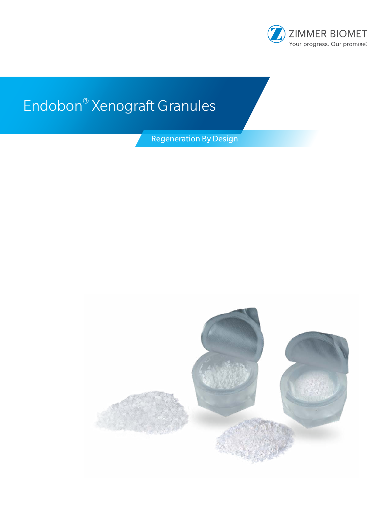

# Endobon® Xenograft Granules

Regeneration By Design

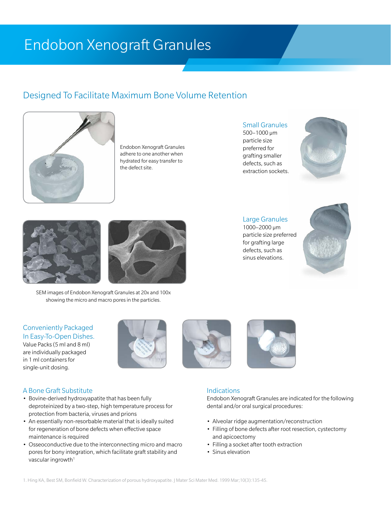## Endobon Xenograft Granules

## Designed To Facilitate Maximum Bone Volume Retention



Endobon Xenograft Granules adhere to one another when hydrated for easy transfer to the defect site.

### Small Granules

500–1000 µm particle size preferred for grafting smaller defects, such as extraction sockets.



#### Large Granules

1000–2000 µm particle size preferred for grafting large defects, such as sinus elevations.







SEM images of Endobon Xenograft Granules at 20x and 100x showing the micro and macro pores in the particles.

#### Conveniently Packaged In Easy-To-Open Dishes.

Value Packs (5 ml and 8 ml) are individually packaged in 1 ml containers for single-unit dosing.







A Bone Graft Substitute

- Bovine-derived hydroxyapatite that has been fully deproteinized by a two-step, high temperature process for protection from bacteria, viruses and prions
- An essentially non-resorbable material that is ideally suited for regeneration of bone defects when effective space maintenance is required
- Osseoconductive due to the interconnecting micro and macro pores for bony integration, which facilitate graft stability and vascular ingrowth $1$

#### **Indications**

Endobon Xenograft Granules are indicated for the following dental and/or oral surgical procedures:

- Alveolar ridge augmentation/reconstruction
- Filling of bone defects after root resection, cystectomy and apicoectomy
- Filling a socket after tooth extraction
- Sinus elevation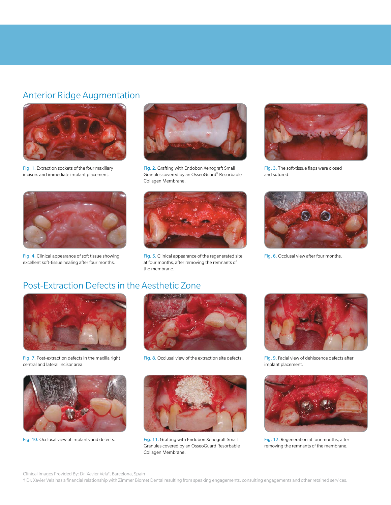### Anterior Ridge Augmentation



Fig. 1. Extraction sockets of the four maxillary incisors and immediate implant placement.



Fig. 4. Clinical appearance of soft tissue showing excellent soft-tissue healing after four months.



Fig. 2. Grafting with Endobon Xenograft Small Granules covered by an OsseoGuard® Resorbable Collagen Membrane.



Fig. 5. Clinical appearance of the regenerated site at four months, after removing the remnants of the membrane.



Fig. 3. The soft-tissue flaps were closed and sutured.



Fig. 6. Occlusal view after four months.

## Post-Extraction Defects in the Aesthetic Zone



Fig. 7. Post-extraction defects in the maxilla right central and lateral incisor area.



Fig. 10. Occlusal view of implants and defects.



Fig. 8. Occlusal view of the extraction site defects.



Fig. 11. Grafting with Endobon Xenograft Small Granules covered by an OsseoGuard Resorbable Collagen Membrane.



Fig. 9. Facial view of dehiscence defects after implant placement.



Fig. 12. Regeneration at four months, after removing the remnants of the membrane.

Clinical Images Provided By: Dr. Xavier Vela† , Barcelona, Spain

† Dr. Xavier Vela has a financial relationship with Zimmer Biomet Dental resulting from speaking engagements, consulting engagements and other retained services.